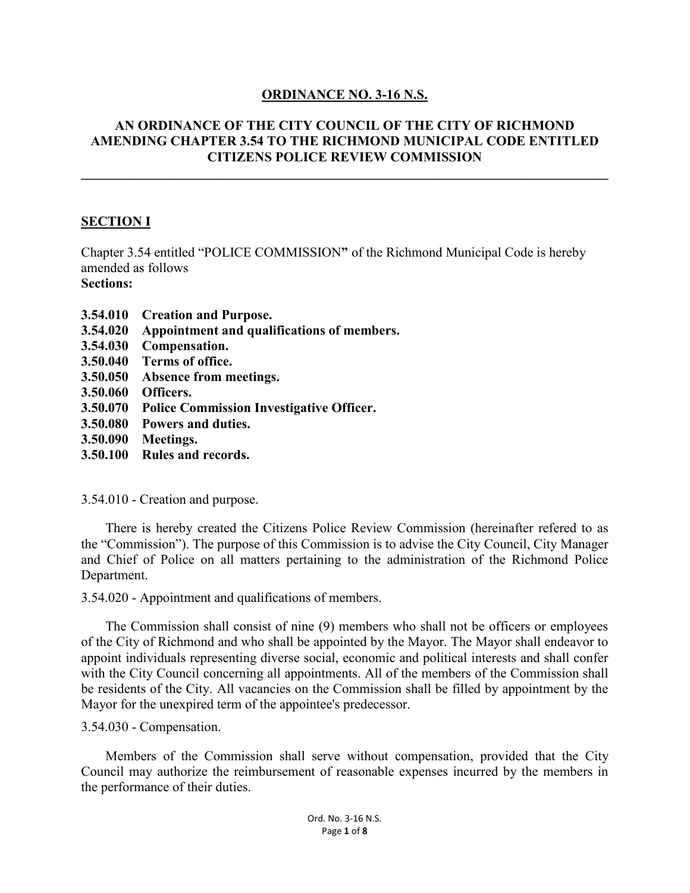## **ORDINANCE NO. 3-16 N.S.**

## **AN ORDINANCE OF THE CITY COUNCIL OF THE CITY OF RICHMOND AMENDING CHAPTER 3.54 TO THE RICHMOND MUNICIPAL CODE ENTITLED CITIZENS POLICE REVIEW COMMISSION**

**\_\_\_\_\_\_\_\_\_\_\_\_\_\_\_\_\_\_\_\_\_\_\_\_\_\_\_\_\_\_\_\_\_\_\_\_\_\_\_\_\_\_\_\_\_\_\_\_\_\_\_\_\_\_\_\_\_\_\_\_\_\_\_\_\_\_\_\_\_\_\_\_\_\_\_\_\_\_**

## **SECTION I**

Chapter 3.54 entitled "POLICE COMMISSION**"** of the Richmond Municipal Code is hereby amended as follows **Sections:**

- **3.54.010 Creation and Purpose.**
- **3.54.020 Appointment and qualifications of members.**
- **3.54.030 Compensation.**
- **3.50.040 Terms of office.**
- **3.50.050 Absence from meetings.**
- **3.50.060 Officers.**
- **3.50.070 Police Commission Investigative Officer.**
- **3.50.080 Powers and duties.**
- **3.50.090 Meetings.**
- **3.50.100 Rules and records.**

3.54.010 - Creation and purpose.

There is hereby created the Citizens Police Review Commission (hereinafter refered to as the "Commission"). The purpose of this Commission is to advise the City Council, City Manager and Chief of Police on all matters pertaining to the administration of the Richmond Police Department.

3.54.020 - Appointment and qualifications of members.

The Commission shall consist of nine (9) members who shall not be officers or employees of the City of Richmond and who shall be appointed by the Mayor. The Mayor shall endeavor to appoint individuals representing diverse social, economic and political interests and shall confer with the City Council concerning all appointments. All of the members of the Commission shall be residents of the City. All vacancies on the Commission shall be filled by appointment by the Mayor for the unexpired term of the appointee's predecessor.

3.54.030 - Compensation.

Members of the Commission shall serve without compensation, provided that the City Council may authorize the reimbursement of reasonable expenses incurred by the members in the performance of their duties.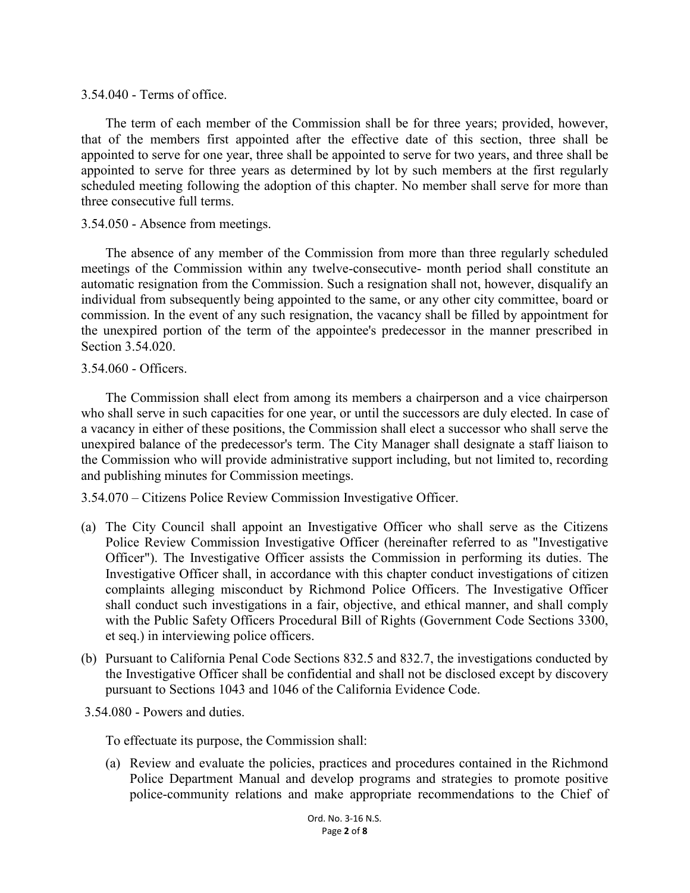3.54.040 - Terms of office.

The term of each member of the Commission shall be for three years; provided, however, that of the members first appointed after the effective date of this section, three shall be appointed to serve for one year, three shall be appointed to serve for two years, and three shall be appointed to serve for three years as determined by lot by such members at the first regularly scheduled meeting following the adoption of this chapter. No member shall serve for more than three consecutive full terms.

#### 3.54.050 - Absence from meetings.

The absence of any member of the Commission from more than three regularly scheduled meetings of the Commission within any twelve-consecutive- month period shall constitute an automatic resignation from the Commission. Such a resignation shall not, however, disqualify an individual from subsequently being appointed to the same, or any other city committee, board or commission. In the event of any such resignation, the vacancy shall be filled by appointment for the unexpired portion of the term of the appointee's predecessor in the manner prescribed in Section 3.54.020.

#### 3.54.060 - Officers.

The Commission shall elect from among its members a chairperson and a vice chairperson who shall serve in such capacities for one year, or until the successors are duly elected. In case of a vacancy in either of these positions, the Commission shall elect a successor who shall serve the unexpired balance of the predecessor's term. The City Manager shall designate a staff liaison to the Commission who will provide administrative support including, but not limited to, recording and publishing minutes for Commission meetings.

3.54.070 – Citizens Police Review Commission Investigative Officer.

- (a) The City Council shall appoint an Investigative Officer who shall serve as the Citizens Police Review Commission Investigative Officer (hereinafter referred to as "Investigative Officer"). The Investigative Officer assists the Commission in performing its duties. The Investigative Officer shall, in accordance with this chapter conduct investigations of citizen complaints alleging misconduct by Richmond Police Officers. The Investigative Officer shall conduct such investigations in a fair, objective, and ethical manner, and shall comply with the Public Safety Officers Procedural Bill of Rights (Government Code Sections 3300, et seq.) in interviewing police officers.
- (b) Pursuant to California Penal Code Sections 832.5 and 832.7, the investigations conducted by the Investigative Officer shall be confidential and shall not be disclosed except by discovery pursuant to Sections 1043 and 1046 of the California Evidence Code.

#### 3.54.080 - Powers and duties.

To effectuate its purpose, the Commission shall:

(a) Review and evaluate the policies, practices and procedures contained in the Richmond Police Department Manual and develop programs and strategies to promote positive police-community relations and make appropriate recommendations to the Chief of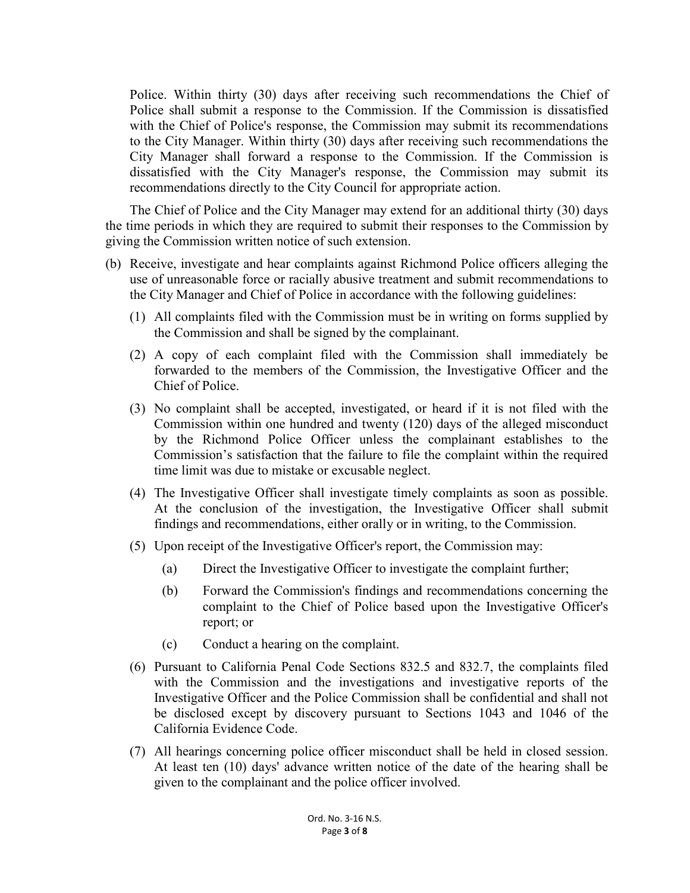Police. Within thirty (30) days after receiving such recommendations the Chief of Police shall submit a response to the Commission. If the Commission is dissatisfied with the Chief of Police's response, the Commission may submit its recommendations to the City Manager. Within thirty (30) days after receiving such recommendations the City Manager shall forward a response to the Commission. If the Commission is dissatisfied with the City Manager's response, the Commission may submit its recommendations directly to the City Council for appropriate action.

The Chief of Police and the City Manager may extend for an additional thirty (30) days the time periods in which they are required to submit their responses to the Commission by giving the Commission written notice of such extension.

- (b) Receive, investigate and hear complaints against Richmond Police officers alleging the use of unreasonable force or racially abusive treatment and submit recommendations to the City Manager and Chief of Police in accordance with the following guidelines:
	- (1) All complaints filed with the Commission must be in writing on forms supplied by the Commission and shall be signed by the complainant.
	- (2) A copy of each complaint filed with the Commission shall immediately be forwarded to the members of the Commission, the Investigative Officer and the Chief of Police.
	- (3) No complaint shall be accepted, investigated, or heard if it is not filed with the Commission within one hundred and twenty (120) days of the alleged misconduct by the Richmond Police Officer unless the complainant establishes to the Commission's satisfaction that the failure to file the complaint within the required time limit was due to mistake or excusable neglect.
	- (4) The Investigative Officer shall investigate timely complaints as soon as possible. At the conclusion of the investigation, the Investigative Officer shall submit findings and recommendations, either orally or in writing, to the Commission.
	- (5) Upon receipt of the Investigative Officer's report, the Commission may:
		- (a) Direct the Investigative Officer to investigate the complaint further;
		- (b) Forward the Commission's findings and recommendations concerning the complaint to the Chief of Police based upon the Investigative Officer's report; or
		- (c) Conduct a hearing on the complaint.
	- (6) Pursuant to California Penal Code Sections 832.5 and 832.7, the complaints filed with the Commission and the investigations and investigative reports of the Investigative Officer and the Police Commission shall be confidential and shall not be disclosed except by discovery pursuant to Sections 1043 and 1046 of the California Evidence Code.
	- (7) All hearings concerning police officer misconduct shall be held in closed session. At least ten (10) days' advance written notice of the date of the hearing shall be given to the complainant and the police officer involved.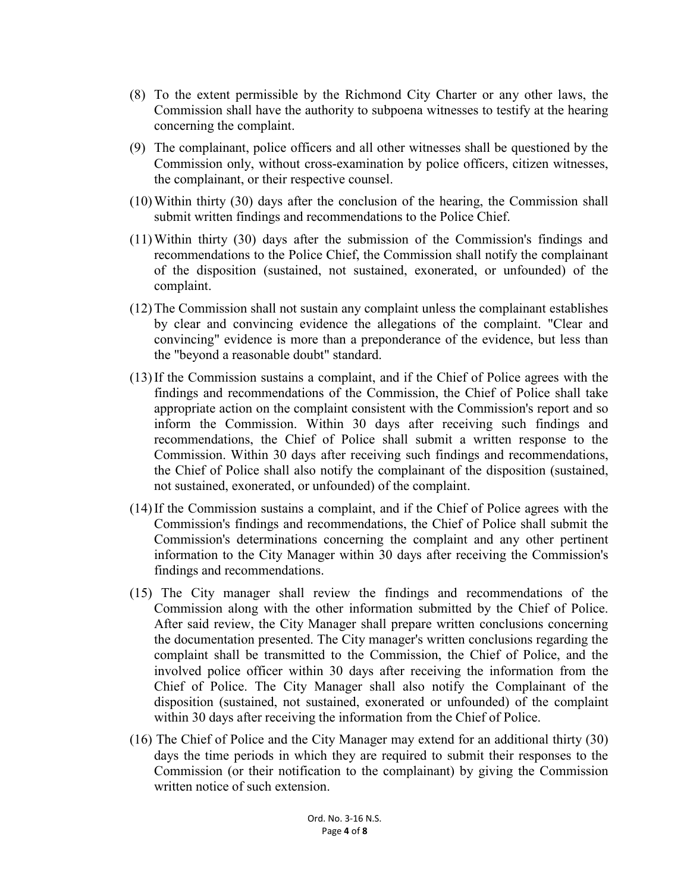- (8) To the extent permissible by the Richmond City Charter or any other laws, the Commission shall have the authority to subpoena witnesses to testify at the hearing concerning the complaint.
- (9) The complainant, police officers and all other witnesses shall be questioned by the Commission only, without cross-examination by police officers, citizen witnesses, the complainant, or their respective counsel.
- (10) Within thirty (30) days after the conclusion of the hearing, the Commission shall submit written findings and recommendations to the Police Chief.
- (11) Within thirty (30) days after the submission of the Commission's findings and recommendations to the Police Chief, the Commission shall notify the complainant of the disposition (sustained, not sustained, exonerated, or unfounded) of the complaint.
- (12) The Commission shall not sustain any complaint unless the complainant establishes by clear and convincing evidence the allegations of the complaint. "Clear and convincing" evidence is more than a preponderance of the evidence, but less than the "beyond a reasonable doubt" standard.
- (13) If the Commission sustains a complaint, and if the Chief of Police agrees with the findings and recommendations of the Commission, the Chief of Police shall take appropriate action on the complaint consistent with the Commission's report and so inform the Commission. Within 30 days after receiving such findings and recommendations, the Chief of Police shall submit a written response to the Commission. Within 30 days after receiving such findings and recommendations, the Chief of Police shall also notify the complainant of the disposition (sustained, not sustained, exonerated, or unfounded) of the complaint.
- (14) If the Commission sustains a complaint, and if the Chief of Police agrees with the Commission's findings and recommendations, the Chief of Police shall submit the Commission's determinations concerning the complaint and any other pertinent information to the City Manager within 30 days after receiving the Commission's findings and recommendations.
- (15) The City manager shall review the findings and recommendations of the Commission along with the other information submitted by the Chief of Police. After said review, the City Manager shall prepare written conclusions concerning the documentation presented. The City manager's written conclusions regarding the complaint shall be transmitted to the Commission, the Chief of Police, and the involved police officer within 30 days after receiving the information from the Chief of Police. The City Manager shall also notify the Complainant of the disposition (sustained, not sustained, exonerated or unfounded) of the complaint within 30 days after receiving the information from the Chief of Police.
- (16) The Chief of Police and the City Manager may extend for an additional thirty (30) days the time periods in which they are required to submit their responses to the Commission (or their notification to the complainant) by giving the Commission written notice of such extension.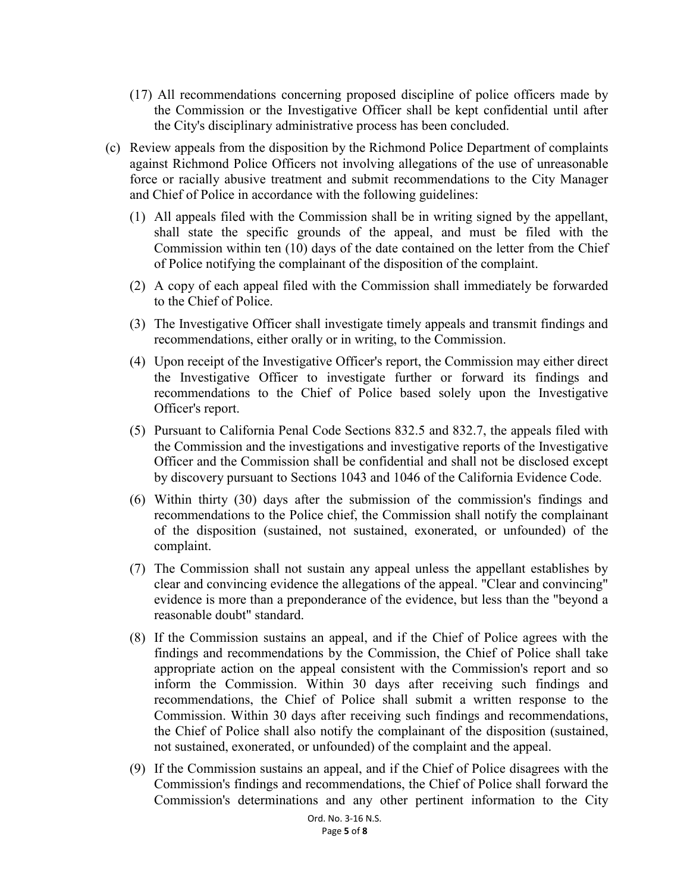- (17) All recommendations concerning proposed discipline of police officers made by the Commission or the Investigative Officer shall be kept confidential until after the City's disciplinary administrative process has been concluded.
- (c) Review appeals from the disposition by the Richmond Police Department of complaints against Richmond Police Officers not involving allegations of the use of unreasonable force or racially abusive treatment and submit recommendations to the City Manager and Chief of Police in accordance with the following guidelines:
	- (1) All appeals filed with the Commission shall be in writing signed by the appellant, shall state the specific grounds of the appeal, and must be filed with the Commission within ten (10) days of the date contained on the letter from the Chief of Police notifying the complainant of the disposition of the complaint.
	- (2) A copy of each appeal filed with the Commission shall immediately be forwarded to the Chief of Police.
	- (3) The Investigative Officer shall investigate timely appeals and transmit findings and recommendations, either orally or in writing, to the Commission.
	- (4) Upon receipt of the Investigative Officer's report, the Commission may either direct the Investigative Officer to investigate further or forward its findings and recommendations to the Chief of Police based solely upon the Investigative Officer's report.
	- (5) Pursuant to California Penal Code Sections 832.5 and 832.7, the appeals filed with the Commission and the investigations and investigative reports of the Investigative Officer and the Commission shall be confidential and shall not be disclosed except by discovery pursuant to Sections 1043 and 1046 of the California Evidence Code.
	- (6) Within thirty (30) days after the submission of the commission's findings and recommendations to the Police chief, the Commission shall notify the complainant of the disposition (sustained, not sustained, exonerated, or unfounded) of the complaint.
	- (7) The Commission shall not sustain any appeal unless the appellant establishes by clear and convincing evidence the allegations of the appeal. "Clear and convincing" evidence is more than a preponderance of the evidence, but less than the "beyond a reasonable doubt" standard.
	- (8) If the Commission sustains an appeal, and if the Chief of Police agrees with the findings and recommendations by the Commission, the Chief of Police shall take appropriate action on the appeal consistent with the Commission's report and so inform the Commission. Within 30 days after receiving such findings and recommendations, the Chief of Police shall submit a written response to the Commission. Within 30 days after receiving such findings and recommendations, the Chief of Police shall also notify the complainant of the disposition (sustained, not sustained, exonerated, or unfounded) of the complaint and the appeal.
	- (9) If the Commission sustains an appeal, and if the Chief of Police disagrees with the Commission's findings and recommendations, the Chief of Police shall forward the Commission's determinations and any other pertinent information to the City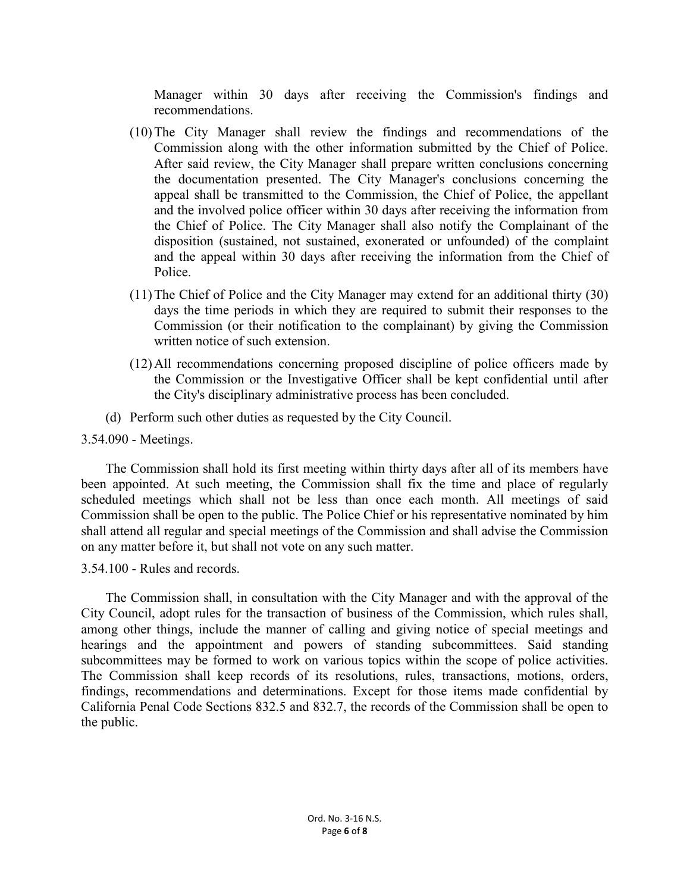Manager within 30 days after receiving the Commission's findings and recommendations.

- (10) The City Manager shall review the findings and recommendations of the Commission along with the other information submitted by the Chief of Police. After said review, the City Manager shall prepare written conclusions concerning the documentation presented. The City Manager's conclusions concerning the appeal shall be transmitted to the Commission, the Chief of Police, the appellant and the involved police officer within 30 days after receiving the information from the Chief of Police. The City Manager shall also notify the Complainant of the disposition (sustained, not sustained, exonerated or unfounded) of the complaint and the appeal within 30 days after receiving the information from the Chief of Police.
- (11) The Chief of Police and the City Manager may extend for an additional thirty (30) days the time periods in which they are required to submit their responses to the Commission (or their notification to the complainant) by giving the Commission written notice of such extension.
- (12) All recommendations concerning proposed discipline of police officers made by the Commission or the Investigative Officer shall be kept confidential until after the City's disciplinary administrative process has been concluded.
- (d) Perform such other duties as requested by the City Council.

#### 3.54.090 - Meetings.

The Commission shall hold its first meeting within thirty days after all of its members have been appointed. At such meeting, the Commission shall fix the time and place of regularly scheduled meetings which shall not be less than once each month. All meetings of said Commission shall be open to the public. The Police Chief or his representative nominated by him shall attend all regular and special meetings of the Commission and shall advise the Commission on any matter before it, but shall not vote on any such matter.

3.54.100 - Rules and records.

The Commission shall, in consultation with the City Manager and with the approval of the City Council, adopt rules for the transaction of business of the Commission, which rules shall, among other things, include the manner of calling and giving notice of special meetings and hearings and the appointment and powers of standing subcommittees. Said standing subcommittees may be formed to work on various topics within the scope of police activities. The Commission shall keep records of its resolutions, rules, transactions, motions, orders, findings, recommendations and determinations. Except for those items made confidential by California Penal Code Sections 832.5 and 832.7, the records of the Commission shall be open to the public.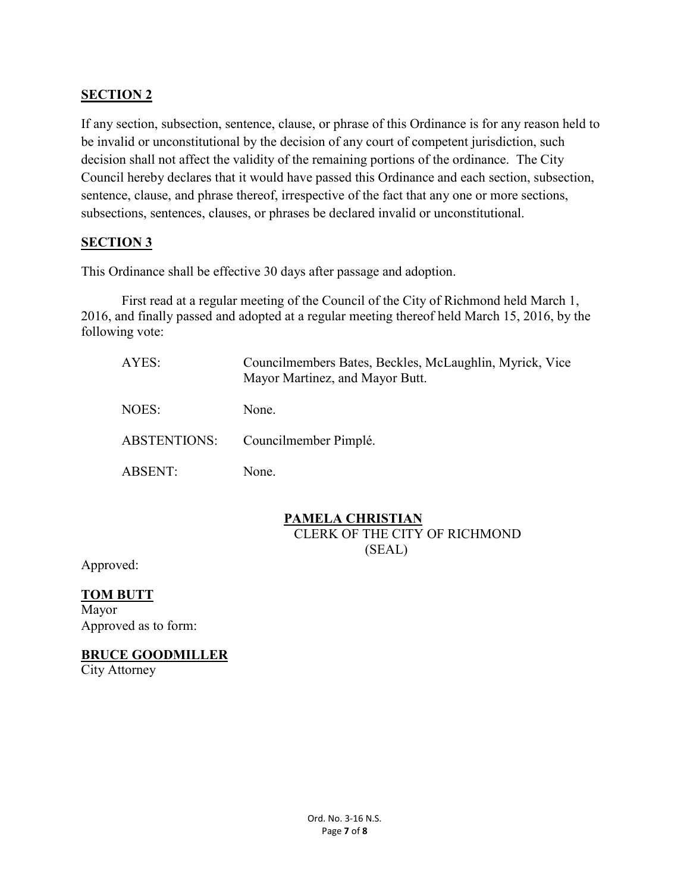# **SECTION 2**

If any section, subsection, sentence, clause, or phrase of this Ordinance is for any reason held to be invalid or unconstitutional by the decision of any court of competent jurisdiction, such decision shall not affect the validity of the remaining portions of the ordinance. The City Council hereby declares that it would have passed this Ordinance and each section, subsection, sentence, clause, and phrase thereof, irrespective of the fact that any one or more sections, subsections, sentences, clauses, or phrases be declared invalid or unconstitutional.

#### **SECTION 3**

This Ordinance shall be effective 30 days after passage and adoption.

First read at a regular meeting of the Council of the City of Richmond held March 1, 2016, and finally passed and adopted at a regular meeting thereof held March 15, 2016, by the following vote:

| AYES:               | Councilmembers Bates, Beckles, McLaughlin, Myrick, Vice<br>Mayor Martinez, and Mayor Butt. |
|---------------------|--------------------------------------------------------------------------------------------|
| NOES:               | None.                                                                                      |
| <b>ABSTENTIONS:</b> | Councilmember Pimplé.                                                                      |
| <b>ABSENT:</b>      | None.                                                                                      |

# **PAMELA CHRISTIAN**

CLERK OF THE CITY OF RICHMOND (SEAL)

Approved:

# **TOM BUTT**

Mayor Approved as to form:

#### **BRUCE GOODMILLER**

City Attorney